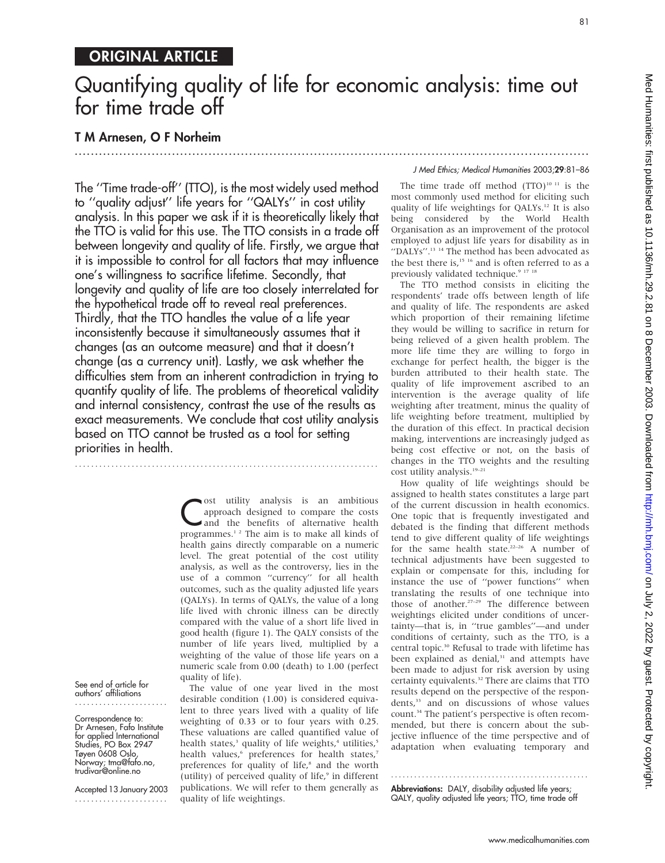# ORIGINAL ARTICLE

# Quantifying quality of life for economic analysis: time out for time trade off

.............................................................................................................................. .

# T M Arnesen, O F Norheim

The ''Time trade-off'' (TTO), is the most widely used method to ''quality adjust'' life years for ''QALYs'' in cost utility analysis. In this paper we ask if it is theoretically likely that the TTO is valid for this use. The TTO consists in a trade off between longevity and quality of life. Firstly, we argue that it is impossible to control for all factors that may influence one's willingness to sacrifice lifetime. Secondly, that longevity and quality of life are too closely interrelated for the hypothetical trade off to reveal real preferences. Thirdly, that the TTO handles the value of a life year inconsistently because it simultaneously assumes that it changes (as an outcome measure) and that it doesn't change (as a currency unit). Lastly, we ask whether the difficulties stem from an inherent contradiction in trying to quantify quality of life. The problems of theoretical validity and internal consistency, contrast the use of the results as exact measurements. We conclude that cost utility analysis based on TTO cannot be trusted as a tool for setting priorities in health.

...........................................................................

Ost utility analysis is an ambitious<br>approach designed to compare the costs<br>and the benefits of alternative health<br>programmes  $\frac{1}{2}$ . The sim is to make all kinds of approach designed to compare the costs and the benefits of alternative health programmes.1 2 The aim is to make all kinds of health gains directly comparable on a numeric level. The great potential of the cost utility analysis, as well as the controversy, lies in the use of a common ''currency'' for all health outcomes, such as the quality adjusted life years (QALYs). In terms of QALYs, the value of a long life lived with chronic illness can be directly compared with the value of a short life lived in good health (figure 1). The QALY consists of the number of life years lived, multiplied by a weighting of the value of those life years on a numeric scale from 0.00 (death) to 1.00 (perfect quality of life).

The value of one year lived in the most desirable condition (1.00) is considered equivalent to three years lived with a quality of life weighting of 0.33 or to four years with 0.25. These valuations are called quantified value of health states,<sup>3</sup> quality of life weights,<sup>4</sup> utilities,<sup>5</sup> health values,<sup>6</sup> preferences for health states,<sup>7</sup> preferences for quality of life,<sup>8</sup> and the worth (utility) of perceived quality of life, $\degree$  in different publications. We will refer to them generally as quality of life weightings.

#### J Med Ethics; Medical Humanities 2003;29:81–86

The time trade off method  $(TTO)^{10}$ <sup>11</sup> is the most commonly used method for eliciting such quality of life weightings for QALYs.12 It is also being considered by the World Health Organisation as an improvement of the protocol employed to adjust life years for disability as in ''DALYs''.13 14 The method has been advocated as the best there is,<sup>15 16</sup> and is often referred to as a previously validated technique.9 17 18

The TTO method consists in eliciting the respondents' trade offs between length of life and quality of life. The respondents are asked which proportion of their remaining lifetime they would be willing to sacrifice in return for being relieved of a given health problem. The more life time they are willing to forgo in exchange for perfect health, the bigger is the burden attributed to their health state. The quality of life improvement ascribed to an intervention is the average quality of life weighting after treatment, minus the quality of life weighting before treatment, multiplied by the duration of this effect. In practical decision making, interventions are increasingly judged as being cost effective or not, on the basis of changes in the TTO weights and the resulting cost utility analysis.<sup>19-21</sup>

How quality of life weightings should be assigned to health states constitutes a large part of the current discussion in health economics. One topic that is frequently investigated and debated is the finding that different methods tend to give different quality of life weightings for the same health state.<sup>22-26</sup> A number of technical adjustments have been suggested to explain or compensate for this, including for instance the use of ''power functions'' when translating the results of one technique into those of another.<sup>27-29</sup> The difference between weightings elicited under conditions of uncertainty—that is, in ''true gambles''—and under conditions of certainty, such as the TTO, is a central topic.<sup>30</sup> Refusal to trade with lifetime has been explained as denial, $31$  and attempts have been made to adjust for risk aversion by using certainty equivalents.<sup>32</sup> There are claims that TTO results depend on the perspective of the respondents,<sup>33</sup> and on discussions of whose values count.34 The patient's perspective is often recommended, but there is concern about the subjective influence of the time perspective and of adaptation when evaluating temporary and

................................................... Abbreviations: DALY, disability adjusted life years: QALY, quality adjusted life years; TTO, time trade off

See end of article for authors' affiliations .......................

Correspondence to: Dr Arnesen, Fafo Institute for applied International Studies, PO Box 2947 Tøyen 0608 Oslo, Norway; tma@fafo.no, trudivar@online.no

Accepted 13 January 2003 .......................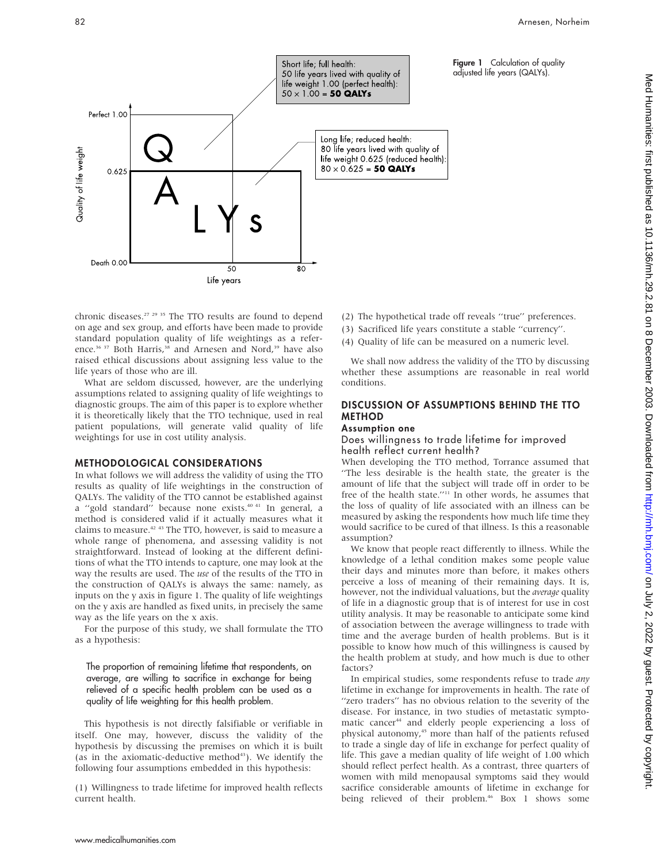

chronic diseases.27 29 35 The TTO results are found to depend on age and sex group, and efforts have been made to provide standard population quality of life weightings as a reference.<sup>36</sup> <sup>37</sup> Both Harris,<sup>38</sup> and Arnesen and Nord,<sup>39</sup> have also raised ethical discussions about assigning less value to the life years of those who are ill.

What are seldom discussed, however, are the underlying assumptions related to assigning quality of life weightings to diagnostic groups. The aim of this paper is to explore whether it is theoretically likely that the TTO technique, used in real patient populations, will generate valid quality of life weightings for use in cost utility analysis.

### METHODOLOGICAL CONSIDERATIONS

In what follows we will address the validity of using the TTO results as quality of life weightings in the construction of QALYs. The validity of the TTO cannot be established against a "gold standard" because none exists.<sup>40 41</sup> In general, a method is considered valid if it actually measures what it claims to measure.42 43 The TTO, however, is said to measure a whole range of phenomena, and assessing validity is not straightforward. Instead of looking at the different definitions of what the TTO intends to capture, one may look at the way the results are used. The use of the results of the TTO in the construction of QALYs is always the same: namely, as inputs on the y axis in figure 1. The quality of life weightings on the y axis are handled as fixed units, in precisely the same way as the life years on the x axis.

For the purpose of this study, we shall formulate the TTO as a hypothesis:

The proportion of remaining lifetime that respondents, on average, are willing to sacrifice in exchange for being relieved of a specific health problem can be used as a quality of life weighting for this health problem.

This hypothesis is not directly falsifiable or verifiable in itself. One may, however, discuss the validity of the hypothesis by discussing the premises on which it is built (as in the axiomatic-deductive method $43$ ). We identify the following four assumptions embedded in this hypothesis:

(1) Willingness to trade lifetime for improved health reflects current health.

- (2) The hypothetical trade off reveals ''true'' preferences.
- (3) Sacrificed life years constitute a stable ''currency''.
- (4) Quality of life can be measured on a numeric level.

We shall now address the validity of the TTO by discussing whether these assumptions are reasonable in real world conditions.

## DISCUSSION OF ASSUMPTIONS BEHIND THE TTO METHOD

#### Assumption one

#### Does willingness to trade lifetime for improved health reflect current health?

When developing the TTO method, Torrance assumed that ''The less desirable is the health state, the greater is the amount of life that the subject will trade off in order to be free of the health state.''11 In other words, he assumes that the loss of quality of life associated with an illness can be measured by asking the respondents how much life time they would sacrifice to be cured of that illness. Is this a reasonable assumption?

We know that people react differently to illness. While the knowledge of a lethal condition makes some people value their days and minutes more than before, it makes others perceive a loss of meaning of their remaining days. It is, however, not the individual valuations, but the average quality of life in a diagnostic group that is of interest for use in cost utility analysis. It may be reasonable to anticipate some kind of association between the average willingness to trade with time and the average burden of health problems. But is it possible to know how much of this willingness is caused by the health problem at study, and how much is due to other factors?

In empirical studies, some respondents refuse to trade any lifetime in exchange for improvements in health. The rate of "zero traders" has no obvious relation to the severity of the disease. For instance, in two studies of metastatic symptomatic cancer<sup>44</sup> and elderly people experiencing a loss of physical autonomy,<sup>45</sup> more than half of the patients refused to trade a single day of life in exchange for perfect quality of life. This gave a median quality of life weight of 1.00 which should reflect perfect health. As a contrast, three quarters of women with mild menopausal symptoms said they would sacrifice considerable amounts of lifetime in exchange for being relieved of their problem.<sup>46</sup> Box 1 shows some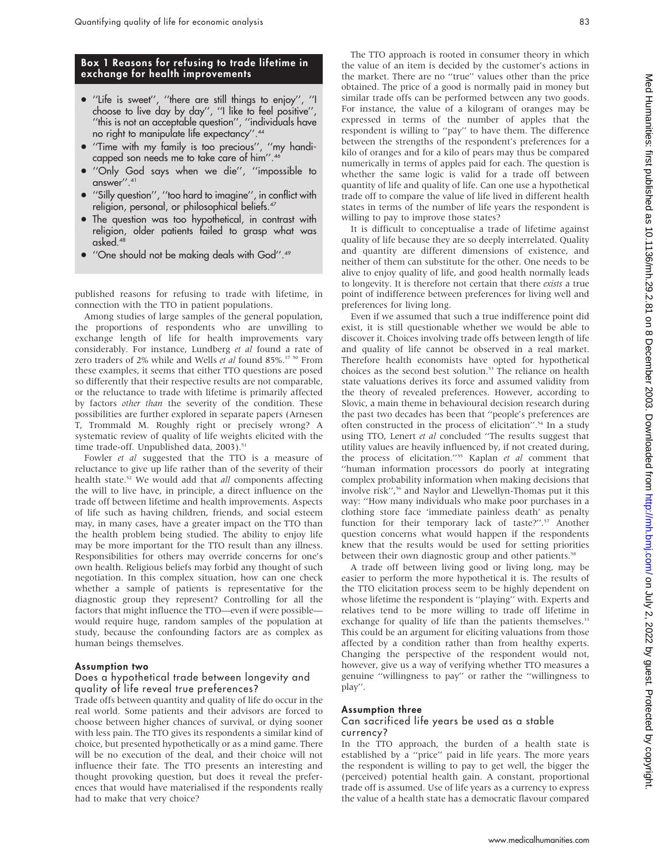#### Box 1 Reasons for refusing to trade lifetime in exchange for health improvements

- "Life is sweet", "there are still things to enjoy", "I choose to live day by day'', ''I like to feel positive'', ''this is not an acceptable question'', ''individuals have no right to manipulate life expectancy''.44
- N ''Time with my family is too precious'', ''my handicapped son needs me to take care of him".<sup>46</sup>
- N ''Only God says when we die'', ''impossible to answer''.41
- N ''Silly question'', ''too hard to imagine'', in conflict with religion, personal, or philosophical beliefs.<sup>47</sup>
- The question was too hypothetical, in contrast with religion, older patients failed to grasp what was asked.48
- "One should not be making deals with God".<sup>49</sup>

published reasons for refusing to trade with lifetime, in connection with the TTO in patient populations.

Among studies of large samples of the general population, the proportions of respondents who are unwilling to exchange length of life for health improvements vary considerably. For instance, Lundberg et al found a rate of zero traders of 2% while and Wells *et al* found  $85\%$ <sup>37 50</sup> From these examples, it seems that either TTO questions are posed so differently that their respective results are not comparable, or the reluctance to trade with lifetime is primarily affected by factors other than the severity of the condition. These possibilities are further explored in separate papers (Arnesen T, Trommald M. Roughly right or precisely wrong? A systematic review of quality of life weights elicited with the time trade-off. Unpublished data, 2003).<sup>51</sup>

Fowler et al suggested that the TTO is a measure of reluctance to give up life rather than of the severity of their health state.<sup>52</sup> We would add that *all* components affecting the will to live have, in principle, a direct influence on the trade off between lifetime and health improvements. Aspects of life such as having children, friends, and social esteem may, in many cases, have a greater impact on the TTO than the health problem being studied. The ability to enjoy life may be more important for the TTO result than any illness. Responsibilities for others may override concerns for one's own health. Religious beliefs may forbid any thought of such negotiation. In this complex situation, how can one check whether a sample of patients is representative for the diagnostic group they represent? Controlling for all the factors that might influence the TTO—even if were possible would require huge, random samples of the population at study, because the confounding factors are as complex as human beings themselves.

#### Assumption two

#### Does a hypothetical trade between longevity and quality of life reveal true preferences?

Trade offs between quantity and quality of life do occur in the real world. Some patients and their advisors are forced to choose between higher chances of survival, or dying sooner with less pain. The TTO gives its respondents a similar kind of choice, but presented hypothetically or as a mind game. There will be no execution of the deal, and their choice will not influence their fate. The TTO presents an interesting and thought provoking question, but does it reveal the preferences that would have materialised if the respondents really had to make that very choice?

The TTO approach is rooted in consumer theory in which the value of an item is decided by the customer's actions in the market. There are no ''true'' values other than the price obtained. The price of a good is normally paid in money but similar trade offs can be performed between any two goods. For instance, the value of a kilogram of oranges may be expressed in terms of the number of apples that the respondent is willing to ''pay'' to have them. The difference between the strengths of the respondent's preferences for a kilo of oranges and for a kilo of pears may thus be compared numerically in terms of apples paid for each. The question is whether the same logic is valid for a trade off between quantity of life and quality of life. Can one use a hypothetical trade off to compare the value of life lived in different health states in terms of the number of life years the respondent is willing to pay to improve those states?

It is difficult to conceptualise a trade of lifetime against quality of life because they are so deeply interrelated. Quality and quantity are different dimensions of existence, and neither of them can substitute for the other. One needs to be alive to enjoy quality of life, and good health normally leads to longevity. It is therefore not certain that there exists a true point of indifference between preferences for living well and preferences for living long.

Even if we assumed that such a true indifference point did exist, it is still questionable whether we would be able to discover it. Choices involving trade offs between length of life and quality of life cannot be observed in a real market. Therefore health economists have opted for hypothetical choices as the second best solution.<sup>53</sup> The reliance on health state valuations derives its force and assumed validity from the theory of revealed preferences. However, according to Slovic, a main theme in behavioural decision research during the past two decades has been that ''people's preferences are often constructed in the process of elicitation''.54 In a study using TTO, Lenert et al concluded ''The results suggest that utility values are heavily influenced by, if not created during, the process of elicitation."<sup>55</sup> Kaplan et al comment that ''human information processors do poorly at integrating complex probability information when making decisions that involve risk",<sup>56</sup> and Naylor and Llewellyn-Thomas put it this way: ''How many individuals who make poor purchases in a clothing store face 'immediate painless death' as penalty function for their temporary lack of taste?".<sup>57</sup> Another question concerns what would happen if the respondents knew that the results would be used for setting priorities between their own diagnostic group and other patients.<sup>58</sup>

A trade off between living good or living long, may be easier to perform the more hypothetical it is. The results of the TTO elicitation process seem to be highly dependent on whose lifetime the respondent is ''playing'' with. Experts and relatives tend to be more willing to trade off lifetime in exchange for quality of life than the patients themselves.<sup>33</sup> This could be an argument for eliciting valuations from those affected by a condition rather than from healthy experts. Changing the perspective of the respondent would not, however, give us a way of verifying whether TTO measures a genuine ''willingness to pay'' or rather the ''willingness to play''.

#### Assumption three

#### Can sacrificed life years be used as a stable currency?

In the TTO approach, the burden of a health state is established by a ''price'' paid in life years. The more years the respondent is willing to pay to get well, the bigger the (perceived) potential health gain. A constant, proportional trade off is assumed. Use of life years as a currency to express the value of a health state has a democratic flavour compared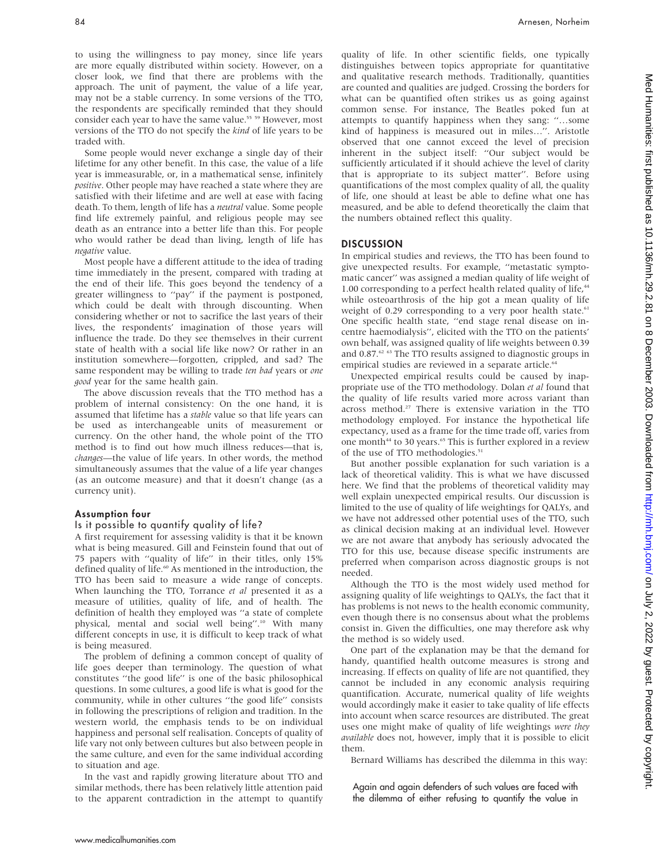to using the willingness to pay money, since life years are more equally distributed within society. However, on a closer look, we find that there are problems with the approach. The unit of payment, the value of a life year, may not be a stable currency. In some versions of the TTO, the respondents are specifically reminded that they should consider each year to have the same value.<sup>55</sup> <sup>59</sup> However, most versions of the TTO do not specify the kind of life years to be traded with.

Some people would never exchange a single day of their lifetime for any other benefit. In this case, the value of a life year is immeasurable, or, in a mathematical sense, infinitely positive. Other people may have reached a state where they are satisfied with their lifetime and are well at ease with facing death. To them, length of life has a *neutral* value. Some people find life extremely painful, and religious people may see death as an entrance into a better life than this. For people who would rather be dead than living, length of life has negative value.

Most people have a different attitude to the idea of trading time immediately in the present, compared with trading at the end of their life. This goes beyond the tendency of a greater willingness to ''pay'' if the payment is postponed, which could be dealt with through discounting. When considering whether or not to sacrifice the last years of their lives, the respondents' imagination of those years will influence the trade. Do they see themselves in their current state of health with a social life like now? Or rather in an institution somewhere—forgotten, crippled, and sad? The same respondent may be willing to trade ten bad years or one good year for the same health gain.

The above discussion reveals that the TTO method has a problem of internal consistency: On the one hand, it is assumed that lifetime has a stable value so that life years can be used as interchangeable units of measurement or currency. On the other hand, the whole point of the TTO method is to find out how much illness reduces—that is, changes—the value of life years. In other words, the method simultaneously assumes that the value of a life year changes (as an outcome measure) and that it doesn't change (as a currency unit).

#### Assumption four

## Is it possible to quantify quality of life?

A first requirement for assessing validity is that it be known what is being measured. Gill and Feinstein found that out of 75 papers with ''quality of life'' in their titles, only 15% defined quality of life.<sup>60</sup> As mentioned in the introduction, the TTO has been said to measure a wide range of concepts. When launching the TTO, Torrance et al presented it as a measure of utilities, quality of life, and of health. The definition of health they employed was ''a state of complete physical, mental and social well being''.10 With many different concepts in use, it is difficult to keep track of what is being measured.

The problem of defining a common concept of quality of life goes deeper than terminology. The question of what constitutes ''the good life'' is one of the basic philosophical questions. In some cultures, a good life is what is good for the community, while in other cultures ''the good life'' consists in following the prescriptions of religion and tradition. In the western world, the emphasis tends to be on individual happiness and personal self realisation. Concepts of quality of life vary not only between cultures but also between people in the same culture, and even for the same individual according to situation and age.

In the vast and rapidly growing literature about TTO and similar methods, there has been relatively little attention paid to the apparent contradiction in the attempt to quantify quality of life. In other scientific fields, one typically distinguishes between topics appropriate for quantitative and qualitative research methods. Traditionally, quantities are counted and qualities are judged. Crossing the borders for what can be quantified often strikes us as going against common sense. For instance, The Beatles poked fun at attempts to quantify happiness when they sang: ''…some kind of happiness is measured out in miles…''. Aristotle observed that one cannot exceed the level of precision inherent in the subject itself: ''Our subject would be sufficiently articulated if it should achieve the level of clarity that is appropriate to its subject matter''. Before using quantifications of the most complex quality of all, the quality of life, one should at least be able to define what one has measured, and be able to defend theoretically the claim that the numbers obtained reflect this quality.

# **DISCUSSION**

In empirical studies and reviews, the TTO has been found to give unexpected results. For example, ''metastatic symptomatic cancer'' was assigned a median quality of life weight of 1.00 corresponding to a perfect health related quality of life,<sup>44</sup> while osteoarthrosis of the hip got a mean quality of life weight of 0.29 corresponding to a very poor health state.<sup>61</sup> One specific health state, ''end stage renal disease on incentre haemodialysis'', elicited with the TTO on the patients' own behalf, was assigned quality of life weights between 0.39 and 0.87.<sup>62 63</sup> The TTO results assigned to diagnostic groups in empirical studies are reviewed in a separate article.<sup>64</sup>

Unexpected empirical results could be caused by inappropriate use of the TTO methodology. Dolan et al found that the quality of life results varied more across variant than across method.<sup>27</sup> There is extensive variation in the TTO methodology employed. For instance the hypothetical life expectancy, used as a frame for the time trade off, varies from one month<sup>44</sup> to 30 years.<sup>65</sup> This is further explored in a review of the use of TTO methodologies.<sup>51</sup>

But another possible explanation for such variation is a lack of theoretical validity. This is what we have discussed here. We find that the problems of theoretical validity may well explain unexpected empirical results. Our discussion is limited to the use of quality of life weightings for QALYs, and we have not addressed other potential uses of the TTO, such as clinical decision making at an individual level. However we are not aware that anybody has seriously advocated the TTO for this use, because disease specific instruments are preferred when comparison across diagnostic groups is not needed.

Although the TTO is the most widely used method for assigning quality of life weightings to QALYs, the fact that it has problems is not news to the health economic community, even though there is no consensus about what the problems consist in. Given the difficulties, one may therefore ask why the method is so widely used.

One part of the explanation may be that the demand for handy, quantified health outcome measures is strong and increasing. If effects on quality of life are not quantified, they cannot be included in any economic analysis requiring quantification. Accurate, numerical quality of life weights would accordingly make it easier to take quality of life effects into account when scarce resources are distributed. The great uses one might make of quality of life weightings were they available does not, however, imply that it is possible to elicit them.

Bernard Williams has described the dilemma in this way:

Again and again defenders of such values are faced with the dilemma of either refusing to quantify the value in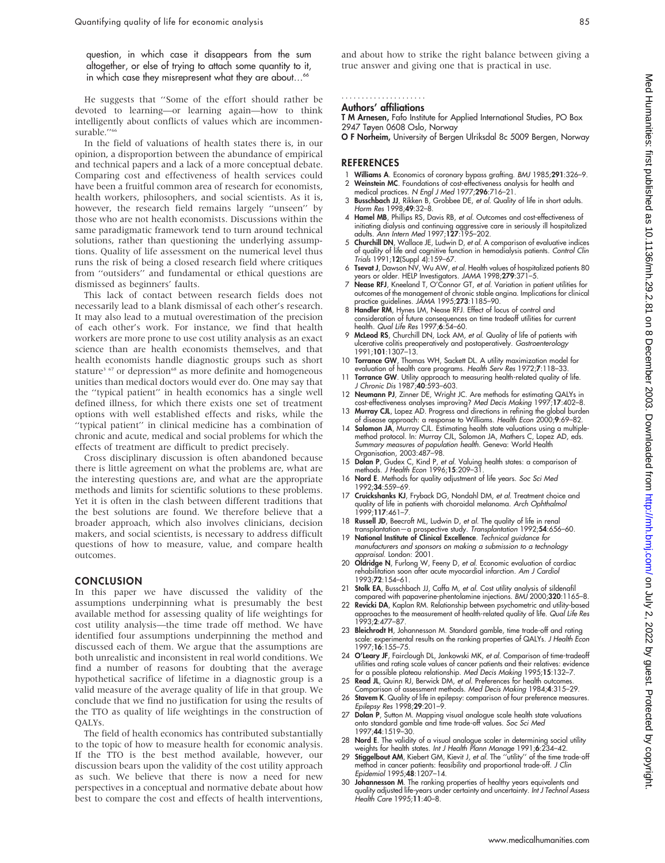question, in which case it disappears from the sum altogether, or else of trying to attach some quantity to it, in which case they misrepresent what they are about...<sup>66</sup>

He suggests that ''Some of the effort should rather be devoted to learning—or learning again—how to think intelligently about conflicts of values which are incommensurable."<sup>66</sup>

In the field of valuations of health states there is, in our opinion, a disproportion between the abundance of empirical and technical papers and a lack of a more conceptual debate. Comparing cost and effectiveness of health services could have been a fruitful common area of research for economists, health workers, philosophers, and social scientists. As it is, however, the research field remains largely ''unseen'' by those who are not health economists. Discussions within the same paradigmatic framework tend to turn around technical solutions, rather than questioning the underlying assumptions. Quality of life assessment on the numerical level thus runs the risk of being a closed research field where critiques from ''outsiders'' and fundamental or ethical questions are dismissed as beginners' faults.

This lack of contact between research fields does not necessarily lead to a blank dismissal of each other's research. It may also lead to a mutual overestimation of the precision of each other's work. For instance, we find that health workers are more prone to use cost utility analysis as an exact science than are health economists themselves, and that health economists handle diagnostic groups such as short stature<sup>3 67</sup> or depression<sup>68</sup> as more definite and homogeneous unities than medical doctors would ever do. One may say that the ''typical patient'' in health economics has a single well defined illness, for which there exists one set of treatment options with well established effects and risks, while the ''typical patient'' in clinical medicine has a combination of chronic and acute, medical and social problems for which the effects of treatment are difficult to predict precisely.

Cross disciplinary discussion is often abandoned because there is little agreement on what the problems are, what are the interesting questions are, and what are the appropriate methods and limits for scientific solutions to these problems. Yet it is often in the clash between different traditions that the best solutions are found. We therefore believe that a broader approach, which also involves clinicians, decision makers, and social scientists, is necessary to address difficult questions of how to measure, value, and compare health outcomes.

#### **CONCLUSION**

In this paper we have discussed the validity of the assumptions underpinning what is presumably the best available method for assessing quality of life weightings for cost utility analysis—the time trade off method. We have identified four assumptions underpinning the method and discussed each of them. We argue that the assumptions are both unrealistic and inconsistent in real world conditions. We find a number of reasons for doubting that the average hypothetical sacrifice of lifetime in a diagnostic group is a valid measure of the average quality of life in that group. We conclude that we find no justification for using the results of the TTO as quality of life weightings in the construction of QALYs.

The field of health economics has contributed substantially to the topic of how to measure health for economic analysis. If the TTO is the best method available, however, our discussion bears upon the validity of the cost utility approach as such. We believe that there is now a need for new perspectives in a conceptual and normative debate about how best to compare the cost and effects of health interventions,

and about how to strike the right balance between giving a true answer and giving one that is practical in use.

#### Authors' affiliations .....................

T M Arnesen, Fafo Institute for Applied International Studies, PO Box 2947 Tøyen 0608 Oslo, Norway

O F Norheim, University of Bergen Ulriksdal 8c 5009 Bergen, Norway

#### REFERENCES

- 1 Williams A. Economics of coronary bypass grafting. BMJ 1985;291:326–9.<br>2 Weinstein MC. Foundations of cost-effectiveness analysis for health and Weinstein MC. Foundations of cost-effectiveness analysis for health and
- medical practices. N Engl J Med 1977;296:716-21.
- 3 Busschbach JJ, Rikken B, Grobbee DE, et al. Quality of life in short adults. Horm Res 1998;49:32–8.
- 4 Hamel MB, Phillips RS, Davis RB, et al. Outcomes and cost-effectiveness of initiating dialysis and continuing aggressive care in seriously ill hospitalized adults. Ann Intern Med 1997;127:195–202.
- 5 Churchill DN, Wallace JE, Ludwin D, et al. A comparison of evaluative indices of quality of life and cognitive function in hemodialysis patients. Control Clin Trials 1991;12(Suppl 4):159–67.
- 6 Tsevat J, Dawson NV, Wu AW, et al. Health values of hospitalized patients 80 years or older. HELP Investigators. JAMA 1998;279:371-5.
- 7 Nease RFJ, Kneeland T, O'Connor GT, et al. Variation in patient utilities for outcomes of the management of chronic stable angina. Implications for clinical practice guidelines. JAMA 1995;273:1185–90.
- 8 Handler RM, Hynes LM, Nease RFJ. Effect of locus of control and consideration of future consequences on time tradeoff utilities for current health. Qual Life Res 1997;6:54-60.
- 9 McLeod RS, Churchill DN, Lock AM, et al. Quality of life of patients with ulcerative colitis preoperatively and postoperatively. *Gastroenterology*<br>1991;**101**:1307–13.
- 10 Torrance GW, Thomas WH, Sackett DL. A utility maximization model for evaluation of health care programs. Health Serv Res 1972;7:118–33.
- 11 Torrance GW. Utility approach to measuring health-related quality of life. J Chronic Dis 1987;40:593–603.
- 12 Neumann PJ, Zinner DE, Wright JC. Are methods for estimating QALYs in cost-effectiveness analyses improving? Med Decis Making 1997;17:402–8.
- 13 Murray CJL, Lopez AD. Progress and directions in refining the global burden of disease approach: a response to Williams. Health Econ 2000;9:69–82.
- 14 Salomon JA, Murray CJL. Estimating health state valuations using a multiplemethod protocol. In: Murray CJL, Salomon JA, Mathers C, Lopez AD, eds. Summary measures of population health. Geneva: World Health Organisation, 2003:487–98.
- 15 Dolan P, Gudex C, Kind P, et al. Valuing health states: a comparison of methods. J Health Econ 1996;15:209–31.
- 16 Nord E. Methods for quality adjustment of life years. Soc Sci Med 1992;34:559–69.
- 17 Cruickshanks KJ, Fryback DG, Nondahl DM, et al. Treatment choice and quality of life in patients with choroidal melanoma. Arch Ophthalmol 1999;117:461–7.
- 18 Russell JD, Beecroft ML, Ludwin D, et al. The quality of life in renal transplantation—a prospective study. Transplantation 1992;54:656–60.
- 19 National Institute of Clinical Excellence. Technical guidance for manufacturers and sponsors on making a submission to a technology appraisal. London: 2001.
- 20 Oldridge N, Furlong W, Feeny D, et al. Economic evaluation of cardiac rehabilitation soon after acute myocardial infarction. Am J Cardiol 1993;72:154–61.
- 21 Stolk EA, Busschbach JJ, Caffa M, et al. Cost utility analysis of sildenafil
- .0-05-11165 compared with papaverine-phentolamine injections. BMJ 2000;320:1165<br>22 Revicki DA, Kaplan RM. Relationship between psychometric and utility-based<br>approaches to the measurement of health-related quality of life. 1993;2:477–87.
- 23 Bleichrodt H, Johannesson M. Standard gamble, time trade-off and rating scale: experimental results on the ranking properties of QALYs. J Health Econ 1997;16:155–75.
- 24 O'Leary JF, Fairclough DL, Jankowski MK, et al. Comparison of time-tradeoff utilities and rating scale values of cancer patients and their relatives: evidence for a possible plateau relationship. Med Decis Making 1995;15:132–7.
- 25 Read JL, Quinn RJ, Berwick DM, et al. Preferences for health outcomes Comparison of assessment methods. Med Decis Making 1984;4:315–29.
- 26 Stavem K. Quality of life in epilepsy: comparison of four preference measures. Epilepsy Res 1998;29:201–9.
- 27 Dolan P, Sutton M. Mapping visual analogue scale health state valuations onto standard gamble and time trade-off values. Soc Sci Med 1997;44:1519–30.
- 28 Nord E. The validity of a visual analogue scaler in determining social utility weights for health states. Int J Health Plann Manage 1991;6:234–42.
- 29 Stiggelbout AM, Kiebert GM, Kievit J, et al. The "utility" of the time trade-off method in cancer patients: feasibility and proportional trade-off. J Clin Epidemiol 1995;48:1207–14.
- 30 Johannesson M. The ranking properties of healthy years equivalents and quality adjusted life-years under certainty and uncertainty. Int J Technol Assess Health Care 1995;11:40-8.